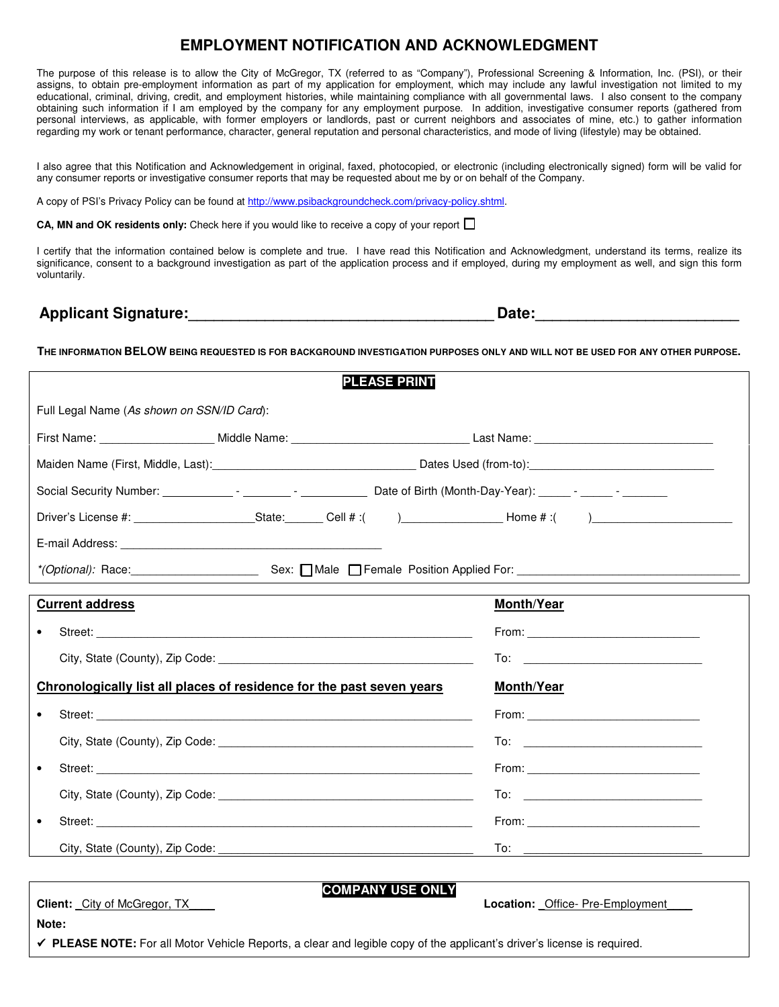## **EMPLOYMENT NOTIFICATION AND ACKNOWLEDGMENT**

The purpose of this release is to allow the City of McGregor, TX (referred to as "Company"), Professional Screening & Information, Inc. (PSI), or their assigns, to obtain pre-employment information as part of my application for employment, which may include any lawful investigation not limited to my educational, criminal, driving, credit, and employment histories, while maintaining compliance with all governmental laws. I also consent to the company obtaining such information if I am employed by the company for any employment purpose. In addition, investigative consumer reports (gathered from personal interviews, as applicable, with former employers or landlords, past or current neighbors and associates of mine, etc.) to gather information regarding my work or tenant performance, character, general reputation and personal characteristics, and mode of living (lifestyle) may be obtained.

I also agree that this Notification and Acknowledgement in original, faxed, photocopied, or electronic (including electronically signed) form will be valid for any consumer reports or investigative consumer reports that may be requested about me by or on behalf of the Company.

A copy of PSI's Privacy Policy can be found at http://www.psibackgroundcheck.com/privacy-policy.shtml.

**CA, MN and OK residents only:** Check here if you would like to receive a copy of your report □

I certify that the information contained below is complete and true. I have read this Notification and Acknowledgment, understand its terms, realize its significance, consent to a background investigation as part of the application process and if employed, during my employment as well, and sign this form voluntarily.

Applicant Signature: **Applicant Signature: Date: Date: Date: Date: Date: Propriet: Propriet: Propriet: Propriet: Propriet: Propriet: Propriet: Propriet: Propriet: Propriet: Propriet: Propr** 

**THE INFORMATION BELOW BEING REQUESTED IS FOR BACKGROUND INVESTIGATION PURPOSES ONLY AND WILL NOT BE USED FOR ANY OTHER PURPOSE.**

| <b>PLEASE PRINT</b>                                                                                                     |                                                                                                                                                                                                                                     |  |
|-------------------------------------------------------------------------------------------------------------------------|-------------------------------------------------------------------------------------------------------------------------------------------------------------------------------------------------------------------------------------|--|
| Full Legal Name (As shown on SSN/ID Card):                                                                              |                                                                                                                                                                                                                                     |  |
|                                                                                                                         |                                                                                                                                                                                                                                     |  |
|                                                                                                                         |                                                                                                                                                                                                                                     |  |
|                                                                                                                         |                                                                                                                                                                                                                                     |  |
|                                                                                                                         |                                                                                                                                                                                                                                     |  |
|                                                                                                                         |                                                                                                                                                                                                                                     |  |
|                                                                                                                         |                                                                                                                                                                                                                                     |  |
| <b>Current address</b>                                                                                                  | Month/Year                                                                                                                                                                                                                          |  |
|                                                                                                                         |                                                                                                                                                                                                                                     |  |
|                                                                                                                         |                                                                                                                                                                                                                                     |  |
| Chronologically list all places of residence for the past seven years                                                   | <b>Month/Year</b>                                                                                                                                                                                                                   |  |
|                                                                                                                         |                                                                                                                                                                                                                                     |  |
|                                                                                                                         |                                                                                                                                                                                                                                     |  |
| $\bullet$                                                                                                               |                                                                                                                                                                                                                                     |  |
|                                                                                                                         |                                                                                                                                                                                                                                     |  |
|                                                                                                                         | <b>From:</b> The contract of the contract of the contract of the contract of the contract of the contract of the contract of the contract of the contract of the contract of the contract of the contract of the contract of the co |  |
|                                                                                                                         |                                                                                                                                                                                                                                     |  |
|                                                                                                                         |                                                                                                                                                                                                                                     |  |
| <b>COMPANY USE ONLY</b><br><b>Client:</b> City of McGregor, TX                                                          | <b>Location:</b> Office-Pre-Employment                                                                                                                                                                                              |  |
| Note:                                                                                                                   |                                                                                                                                                                                                                                     |  |
| ← PLEASE NOTE: For all Motor Vehicle Reports, a clear and legible copy of the applicant's driver's license is required. |                                                                                                                                                                                                                                     |  |